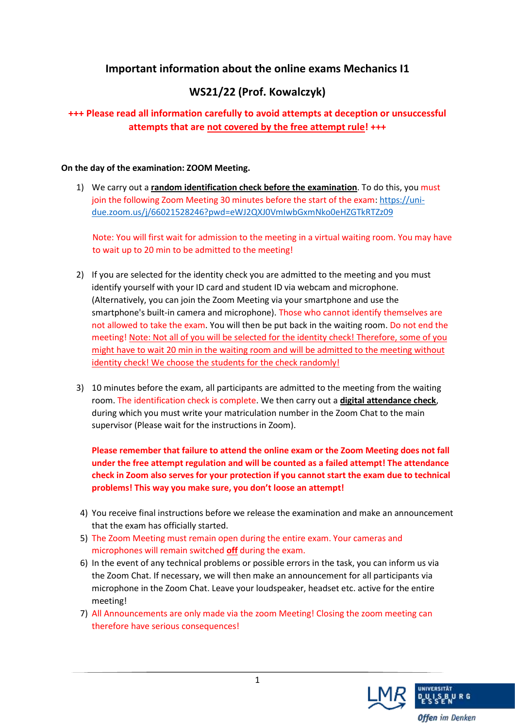# **Important information about the online exams Mechanics I1**

# **WS21/22 (Prof. Kowalczyk)**

## **+++ Please read all information carefully to avoid attempts at deception or unsuccessful attempts that are not covered by the free attempt rule! +++**

### **On the day of the examination: ZOOM Meeting.**

1) We carry out a **random identification check before the examination**. To do this, you must join the following Zoom Meeting 30 minutes before the start of the exam: [https://uni](https://uni-due.zoom.us/j/66021528246?pwd=eWJ2QXJ0VmIwbGxmNko0eHZGTkRTZz09)[due.zoom.us/j/66021528246?pwd=eWJ2QXJ0VmIwbGxmNko0eHZGTkRTZz09](https://uni-due.zoom.us/j/66021528246?pwd=eWJ2QXJ0VmIwbGxmNko0eHZGTkRTZz09)

Note: You will first wait for admission to the meeting in a virtual waiting room. You may have to wait up to 20 min to be admitted to the meeting!

- 2) If you are selected for the identity check you are admitted to the meeting and you must identify yourself with your ID card and student ID via webcam and microphone. (Alternatively, you can join the Zoom Meeting via your smartphone and use the smartphone's built-in camera and microphone). Those who cannot identify themselves are not allowed to take the exam. You will then be put back in the waiting room. Do not end the meeting! Note: Not all of you will be selected for the identity check! Therefore, some of you might have to wait 20 min in the waiting room and will be admitted to the meeting without identity check! We choose the students for the check randomly!
- 3) 10 minutes before the exam, all participants are admitted to the meeting from the waiting room. The identification check is complete. We then carry out a **digital attendance check**, during which you must write your matriculation number in the Zoom Chat to the main supervisor (Please wait for the instructions in Zoom).

**Please remember that failure to attend the online exam or the Zoom Meeting does not fall under the free attempt regulation and will be counted as a failed attempt! The attendance check in Zoom also serves for your protection if you cannot start the exam due to technical problems! This way you make sure, you don't loose an attempt!**

- 4) You receive final instructions before we release the examination and make an announcement that the exam has officially started.
- 5) The Zoom Meeting must remain open during the entire exam. Your cameras and microphones will remain switched **off** during the exam.
- 6) In the event of any technical problems or possible errors in the task, you can inform us via the Zoom Chat. If necessary, we will then make an announcement for all participants via microphone in the Zoom Chat. Leave your loudspeaker, headset etc. active for the entire meeting!
- 7) All Announcements are only made via the zoom Meeting! Closing the zoom meeting can therefore have serious consequences!

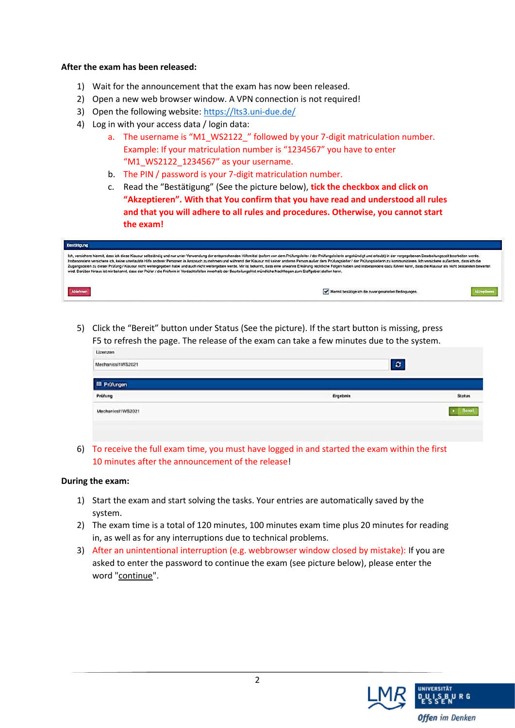### **After the exam has been released:**

- 1) Wait for the announcement that the exam has now been released.
- 2) Open a new web browser window. A VPN connection is not required!
- 3) Open the following website:<https://lts3.uni-due.de/>
- 4) Log in with your access data / login data:
	- a. The username is "M1\_WS2122\_" followed by your 7-digit matriculation number. Example: If your matriculation number is "1234567" you have to enter "M1\_WS2122\_1234567" as your username.
	- b. The PIN / password is your 7-digit matriculation number.
	- c. Read the "Bestätigung" (See the picture below), **tick the checkbox and click on "Akzeptieren". With that You confirm that you have read and understood all rules and that you will adhere to all rules and procedures. Otherwise, you cannot start the exam!**

| Bestätigung                                                                                                                                                                                                                                                                                                                                                                                                                                                                                                                                                                                                                                                                                                                                                                                                                                                                     |                                                        |
|---------------------------------------------------------------------------------------------------------------------------------------------------------------------------------------------------------------------------------------------------------------------------------------------------------------------------------------------------------------------------------------------------------------------------------------------------------------------------------------------------------------------------------------------------------------------------------------------------------------------------------------------------------------------------------------------------------------------------------------------------------------------------------------------------------------------------------------------------------------------------------|--------------------------------------------------------|
| Ich, versichere hiermit, dass ich diese Klausur selbständig und nur unter Verwendung der entsprechenden Hilfsmittel (sofern von dem Prüfungsleiter / der Prüfungsleiterin angekündigt und erlaubt) in der vorgegebenen Bearbei<br>Insbesondere versichere ich, keine unerlaubte Hilfe anderer Personen in Anspruch zu nehmen und während der Klausur mit keiner anderen Person außer dem Prüfungsleiter / der Prüfungsleiterin zu kommunizieren. Ich versichere<br>Zugangsdaten zu dieser Prüfung / Klausur nicht weitergegeben habe und auch nicht weitergeben werde. Mir ist bekannt, dass eine unwahre Erklärung rechtliche Folgen haben und insbesondere dazu führen kann, dass die Klausur a<br>wird. Darüber hinaus ist mir bekannt, dass der Prüfer / die Prüferin in Verdachtsfällen innerhalb der Beurteilungsfrist mündliche Nachfragen zum Stoffgebiet stellen kann. |                                                        |
| Abiehnen                                                                                                                                                                                                                                                                                                                                                                                                                                                                                                                                                                                                                                                                                                                                                                                                                                                                        | Hiermit bestätige ich die zuvor genannten Bedingungen. |

5) Click the "Bereit" button under Status (See the picture). If the start button is missing, press F5 to refresh the page. The release of the exam can take a few minutes due to the system.

| risancau<br>MechanicsHWS2021 | $\pmb{\varepsilon}$<br><b><i>COMMUNICATE</i></b> |               |
|------------------------------|--------------------------------------------------|---------------|
| <b>III</b> Prüfungen         |                                                  |               |
| Prüfung                      | Ergebnis                                         | <b>Status</b> |
| MechanicsHWS2021             |                                                  |               |
|                              |                                                  |               |

6) To receive the full exam time, you must have logged in and started the exam within the first 10 minutes after the announcement of the release!

#### **During the exam:**

- 1) Start the exam and start solving the tasks. Your entries are automatically saved by the system.
- 2) The exam time is a total of 120 minutes, 100 minutes exam time plus 20 minutes for reading in, as well as for any interruptions due to technical problems.
- 3) After an unintentional interruption (e.g. webbrowser window closed by mistake): If you are asked to enter the password to continue the exam (see picture below), please enter the word "continue".

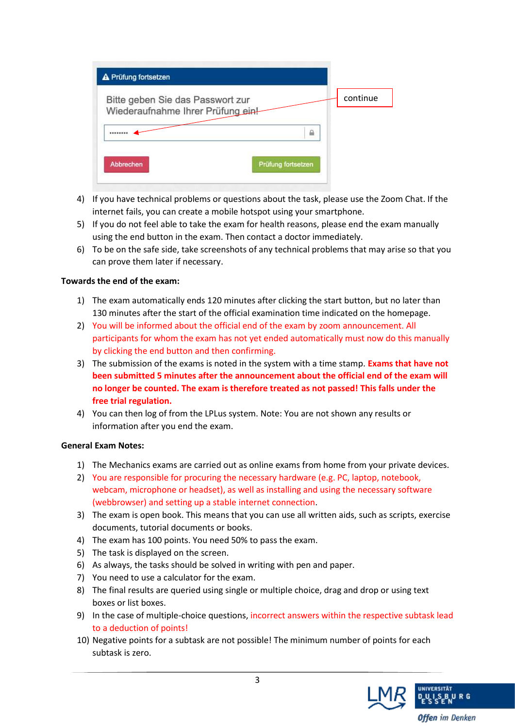| A Prüfung fortsetzen                                                  |                    |
|-----------------------------------------------------------------------|--------------------|
| Bitte geben Sie das Passwort zur<br>Wiederaufnahme Ihrer Prüfung ein! | continue           |
|                                                                       | ₽                  |
| <b>Abbrechen</b>                                                      | Prüfung fortsetzen |

- 4) If you have technical problems or questions about the task, please use the Zoom Chat. If the internet fails, you can create a mobile hotspot using your smartphone.
- 5) If you do not feel able to take the exam for health reasons, please end the exam manually using the end button in the exam. Then contact a doctor immediately.
- 6) To be on the safe side, take screenshots of any technical problems that may arise so that you can prove them later if necessary.

#### **Towards the end of the exam:**

- 1) The exam automatically ends 120 minutes after clicking the start button, but no later than 130 minutes after the start of the official examination time indicated on the homepage.
- 2) You will be informed about the official end of the exam by zoom announcement. All participants for whom the exam has not yet ended automatically must now do this manually by clicking the end button and then confirming.
- 3) The submission of the exams is noted in the system with a time stamp. **Exams that have not been submitted 5 minutes after the announcement about the official end of the exam will no longer be counted. The exam is therefore treated as not passed! This falls under the free trial regulation.**
- 4) You can then log of from the LPLus system. Note: You are not shown any results or information after you end the exam.

#### **General Exam Notes:**

- 1) The Mechanics exams are carried out as online exams from home from your private devices.
- 2) You are responsible for procuring the necessary hardware (e.g. PC, laptop, notebook, webcam, microphone or headset), as well as installing and using the necessary software (webbrowser) and setting up a stable internet connection.
- 3) The exam is open book. This means that you can use all written aids, such as scripts, exercise documents, tutorial documents or books.
- 4) The exam has 100 points. You need 50% to pass the exam.
- 5) The task is displayed on the screen.
- 6) As always, the tasks should be solved in writing with pen and paper.
- 7) You need to use a calculator for the exam.
- 8) The final results are queried using single or multiple choice, drag and drop or using text boxes or list boxes.
- 9) In the case of multiple-choice questions, incorrect answers within the respective subtask lead to a deduction of points!
- 10) Negative points for a subtask are not possible! The minimum number of points for each subtask is zero.